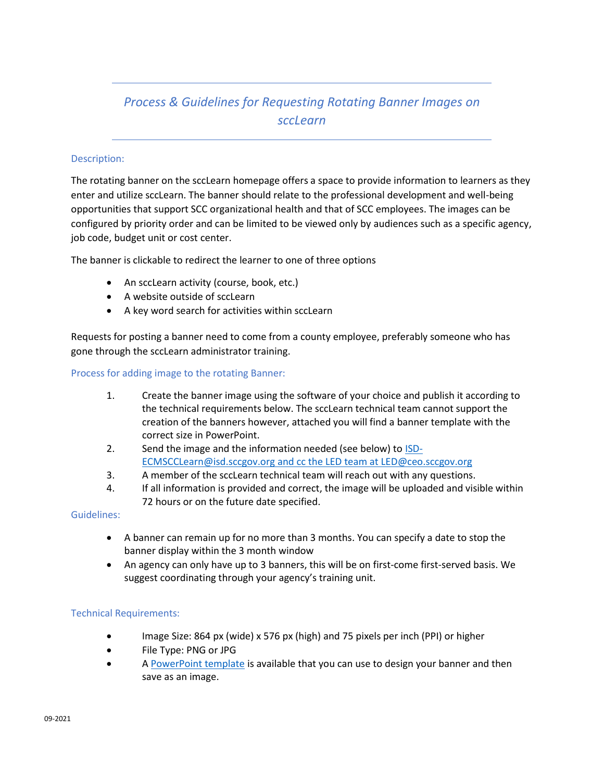# *Process & Guidelines for Requesting Rotating Banner Images on sccLearn*

# Description:

The rotating banner on the sccLearn homepage offers a space to provide information to learners as they enter and utilize sccLearn. The banner should relate to the professional development and well-being opportunities that support SCC organizational health and that of SCC employees. The images can be configured by priority order and can be limited to be viewed only by audiences such as a specific agency, job code, budget unit or cost center.

The banner is clickable to redirect the learner to one of three options

- An sccLearn activity (course, book, etc.)
- A website outside of sccLearn
- A key word search for activities within sccLearn

Requests for posting a banner need to come from a county employee, preferably someone who has gone through the sccLearn administrator training.

## Process for adding image to the rotating Banner:

- 1. Create the banner image using the software of your choice and publish it according to the technical requirements below. The sccLearn technical team cannot support the creation of the banners however, attached you will find a banner template with the correct size in PowerPoint.
- 2. Send the image and the information needed (see below) t[o ISD-](mailto:ISD-ECMSCCLearn@isd.sccgov.org)[ECMSCCLearn@isd.sccgov.org](mailto:ISD-ECMSCCLearn@isd.sccgov.org) and cc the LED team at LED@ceo.sccgov.org
- 3. A member of the sccLearn technical team will reach out with any questions.
- 4. If all information is provided and correct, the image will be uploaded and visible within 72 hours or on the future date specified.

#### Guidelines:

- A banner can remain up for no more than 3 months. You can specify a date to stop the banner display within the 3 month window
- An agency can only have up to 3 banners, this will be on first-come first-served basis. We suggest coordinating through your agency's training unit.

# Technical Requirements:

- Image Size: 864 px (wide) x 576 px (high) and 75 pixels per inch (PPI) or higher
- File Type: PNG or JPG
- A [PowerPoint template](https://learning.sccgov.org/scclearn-resources/scclearn-administration-resources) is available that you can use to design your banner and then save as an image.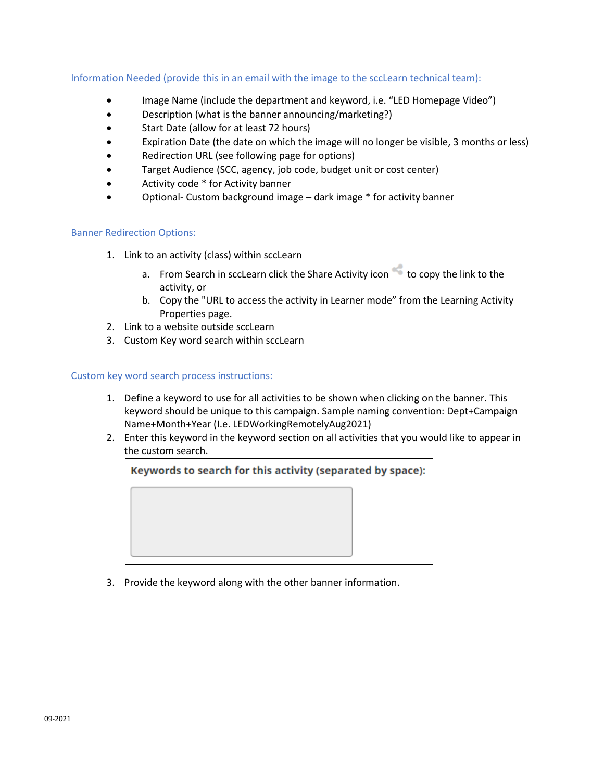Information Needed (provide this in an email with the image to the sccLearn technical team):

- Image Name (include the department and keyword, i.e. "LED Homepage Video")
- Description (what is the banner announcing/marketing?)
- Start Date (allow for at least 72 hours)
- Expiration Date (the date on which the image will no longer be visible, 3 months or less)
- Redirection URL (see following page for options)
- Target Audience (SCC, agency, job code, budget unit or cost center)
- Activity code \* for Activity banner
- Optional- Custom background image dark image \* for activity banner

## Banner Redirection Options:

- 1. Link to an activity (class) within sccLearn
	- a. From Search in sccLearn click the Share Activity icon to copy the link to the activity, or
	- b. Copy the "URL to access the activity in Learner mode" from the Learning Activity Properties page.
- 2. Link to a website outside sccLearn
- 3. Custom Key word search within sccLearn

## Custom key word search process instructions:

- 1. Define a keyword to use for all activities to be shown when clicking on the banner. This keyword should be unique to this campaign. Sample naming convention: Dept+Campaign Name+Month+Year (I.e. LEDWorkingRemotelyAug2021)
- 2. Enter this keyword in the keyword section on all activities that you would like to appear in the custom search.



3. Provide the keyword along with the other banner information.